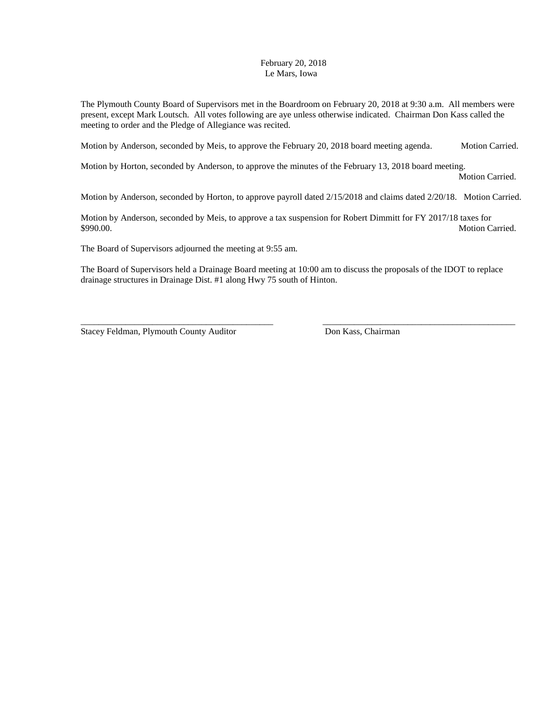## February 20, 2018 Le Mars, Iowa

The Plymouth County Board of Supervisors met in the Boardroom on February 20, 2018 at 9:30 a.m. All members were present, except Mark Loutsch. All votes following are aye unless otherwise indicated. Chairman Don Kass called the meeting to order and the Pledge of Allegiance was recited.

Motion by Anderson, seconded by Meis, to approve the February 20, 2018 board meeting agenda. Motion Carried.

Motion by Horton, seconded by Anderson, to approve the minutes of the February 13, 2018 board meeting.

Motion Carried.

Motion by Anderson, seconded by Horton, to approve payroll dated 2/15/2018 and claims dated 2/20/18. Motion Carried.

Motion by Anderson, seconded by Meis, to approve a tax suspension for Robert Dimmitt for FY 2017/18 taxes for \$990.00. Motion Carried.

The Board of Supervisors adjourned the meeting at 9:55 am.

The Board of Supervisors held a Drainage Board meeting at 10:00 am to discuss the proposals of the IDOT to replace drainage structures in Drainage Dist. #1 along Hwy 75 south of Hinton.

\_\_\_\_\_\_\_\_\_\_\_\_\_\_\_\_\_\_\_\_\_\_\_\_\_\_\_\_\_\_\_\_\_\_\_\_\_\_\_\_\_\_\_ \_\_\_\_\_\_\_\_\_\_\_\_\_\_\_\_\_\_\_\_\_\_\_\_\_\_\_\_\_\_\_\_\_\_\_\_\_\_\_\_\_\_\_

Stacey Feldman, Plymouth County Auditor Don Kass, Chairman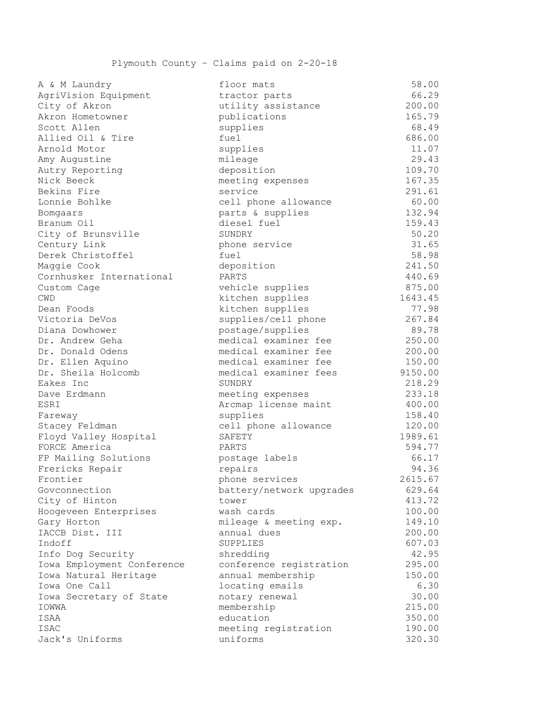| A & M Laundry                        | floor mats                            | 58.00           |
|--------------------------------------|---------------------------------------|-----------------|
| AgriVision Equipment                 | tractor parts                         | 66.29           |
| City of Akron                        | utility assistance                    | 200.00          |
| Akron Hometowner                     | publications                          | 165.79          |
| Scott Allen                          | supplies                              | 68.49           |
| Allied Oil & Tire                    | fuel                                  | 686.00          |
| Arnold Motor                         | supplies                              | 11.07           |
| Amy Augustine                        | mileage                               | 29.43           |
| Autry Reporting                      | deposition                            | 109.70          |
| Nick Beeck                           | meeting expenses                      | 167.35          |
| Bekins Fire                          | service                               | 291.61          |
| Lonnie Bohlke                        | cell phone allowance                  | 60.00           |
| Bomgaars                             | parts & supplies                      | 132.94          |
| Branum Oil                           | diesel fuel                           | 159.43          |
| City of Brunsville                   | SUNDRY                                | 50.20           |
| Century Link                         | phone service                         | 31.65           |
| Derek Christoffel                    | fuel                                  | 58.98           |
| Maggie Cook                          | deposition                            | 241.50          |
| Cornhusker International             | PARTS                                 | 440.69          |
| Custom Cage                          | vehicle supplies                      | 875.00          |
| <b>CWD</b>                           | kitchen supplies                      | 1643.45         |
| Dean Foods                           | kitchen supplies                      | 77.98           |
| Victoria DeVos                       | supplies/cell phone                   | 267.84          |
| Diana Dowhower                       | postage/supplies                      | 89.78           |
| Dr. Andrew Geha                      | medical examiner fee                  | 250.00          |
| Dr. Donald Odens                     | medical examiner fee                  | 200.00          |
| Dr. Ellen Aquino                     | medical examiner fee                  | 150.00          |
| Dr. Sheila Holcomb                   | medical examiner fees                 | 9150.00         |
| Eakes Inc                            | SUNDRY                                | 218.29          |
| Dave Erdmann                         | meeting expenses                      | 233.18          |
| ESRI                                 | Arcmap license maint                  | 400.00          |
| Fareway                              | supplies                              | 158.40          |
| Stacey Feldman                       | cell phone allowance                  | 120.00          |
| Floyd Valley Hospital                | SAFETY                                | 1989.61         |
| FORCE America                        | PARTS                                 | 594.77          |
| FP Mailing Solutions                 | postage labels                        | 66.17           |
| Frericks Repair                      | repairs                               | 94.36           |
| Frontier                             | phone services                        | 2615.67         |
| Govconnection                        |                                       | 629.64          |
| City of Hinton                       | battery/network upgrades<br>tower     | 413.72          |
|                                      | wash cards                            | 100.00          |
| Hoogeveen Enterprises<br>Gary Horton |                                       | 149.10          |
|                                      | mileage & meeting exp.<br>annual dues |                 |
| IACCB Dist. III                      |                                       | 200.00          |
| Indoff                               | SUPPLIES                              | 607.03<br>42.95 |
| Info Dog Security                    | shredding                             |                 |
| Iowa Employment Conference           | conference registration               | 295.00          |
| Iowa Natural Heritage                | annual membership                     | 150.00          |
| Iowa One Call                        | locating emails                       | 6.30            |
| Iowa Secretary of State              | notary renewal                        | 30.00           |
| IOWWA                                | membership                            | 215.00          |
| ISAA                                 | education                             | 350.00          |
| ISAC                                 | meeting registration                  | 190.00          |
| Jack's Uniforms                      | uniforms                              | 320.30          |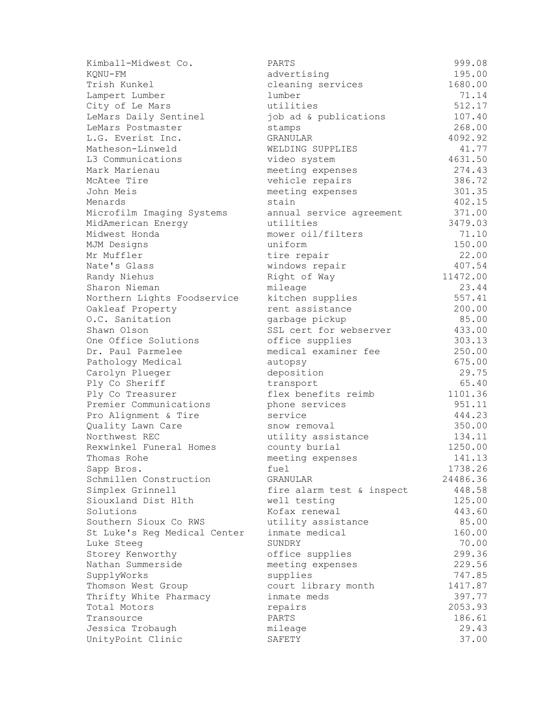| Kimball-Midwest Co.                    | PARTS                     | 999.08   |
|----------------------------------------|---------------------------|----------|
| KQNU-FM                                | advertising               | 195.00   |
| Trish Kunkel                           | cleaning services         | 1680.00  |
| Lampert Lumber                         | lumber                    | 71.14    |
| City of Le Mars                        | utilities                 | 512.17   |
| LeMars Daily Sentinel                  | job ad & publications     | 107.40   |
| LeMars Postmaster                      | stamps                    | 268.00   |
| L.G. Everist Inc.                      | GRANULAR                  | 4092.92  |
| Matheson-Linweld                       | WELDING SUPPLIES          | 41.77    |
| L3 Communications                      | video system              | 4631.50  |
| Mark Marienau                          | meeting expenses          | 274.43   |
| McAtee Tire                            | vehicle repairs           | 386.72   |
| John Meis                              | meeting expenses          | 301.35   |
| Menards                                | stain                     | 402.15   |
| Microfilm Imaging Systems              | annual service agreement  | 371.00   |
| MidAmerican Energy                     | utilities                 | 3479.03  |
| Midwest Honda                          | mower oil/filters         | 71.10    |
| MJM Designs                            | uniform                   | 150.00   |
| Mr Muffler                             | tire repair               | 22.00    |
| Nate's Glass                           | windows repair            | 407.54   |
| Randy Niehus                           | Right of Way              | 11472.00 |
| Sharon Nieman                          | mileage                   | 23.44    |
| Northern Lights Foodservice            | kitchen supplies          | 557.41   |
| Oakleaf Property                       | rent assistance           | 200.00   |
| O.C. Sanitation                        | garbage pickup            | 85.00    |
| Shawn Olson                            | SSL cert for webserver    | 433.00   |
| One Office Solutions                   | office supplies           | 303.13   |
| Dr. Paul Parmelee                      | medical examiner fee      | 250.00   |
| Pathology Medical                      | autopsy                   | 675.00   |
| Carolyn Plueger                        | deposition                | 29.75    |
| Ply Co Sheriff                         | transport                 | 65.40    |
| Ply Co Treasurer                       | flex benefits reimb       | 1101.36  |
| Premier Communications                 | phone services            | 951.11   |
| Pro Alignment & Tire                   | service                   | 444.23   |
| Quality Lawn Care                      | snow removal              | 350.00   |
| Northwest REC                          | utility assistance        | 134.11   |
| Rexwinkel Funeral Homes                | county burial             | 1250.00  |
| Thomas Rohe                            | meeting expenses          | 141.13   |
| Sapp Bros.                             | fuel                      | 1738.26  |
| Schmillen Construction                 | GRANULAR                  | 24486.36 |
| Simplex Grinnell                       | fire alarm test & inspect | 448.58   |
| Siouxland Dist Hlth                    | well testing              | 125.00   |
| Solutions                              | Kofax renewal             | 443.60   |
| Southern Sioux Co RWS                  | utility assistance        | 85.00    |
| St Luke's Reg Medical Center           | inmate medical            | 160.00   |
| Luke Steeg                             | SUNDRY                    | 70.00    |
| Storey Kenworthy                       | office supplies           | 299.36   |
| Nathan Summerside                      | meeting expenses          | 229.56   |
| SupplyWorks                            | supplies                  | 747.85   |
| Thomson West Group                     | court library month       | 1417.87  |
|                                        | inmate meds               | 397.77   |
| Thrifty White Pharmacy<br>Total Motors |                           | 2053.93  |
| Transource                             | repairs<br>PARTS          | 186.61   |
|                                        |                           | 29.43    |
| Jessica Trobaugh                       | mileage<br>SAFETY         |          |
| UnityPoint Clinic                      |                           | 37.00    |